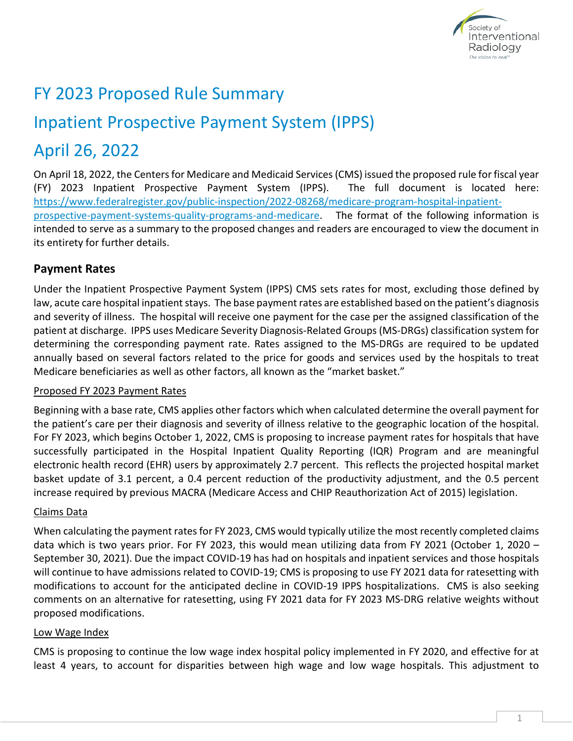

## FY 2023 Proposed Rule Summary

# Inpatient Prospective Payment System (IPPS)

## April 26, 2022

On April 18, 2022, the Centers for Medicare and Medicaid Services (CMS) issued the proposed rule for fiscal year (FY) 2023 Inpatient Prospective Payment System (IPPS). The full document is located here: [https://www.federalregister.gov/public-inspection/2022-08268/medicare-program-hospital-inpatient](https://www.federalregister.gov/public-inspection/2022-08268/medicare-program-hospital-inpatient-prospective-payment-systems-quality-programs-and-medicare)[prospective-payment-systems-quality-programs-and-medicare.](https://www.federalregister.gov/public-inspection/2022-08268/medicare-program-hospital-inpatient-prospective-payment-systems-quality-programs-and-medicare) The format of the following information is intended to serve as a summary to the proposed changes and readers are encouraged to view the document in its entirety for further details.

## **Payment Rates**

Under the Inpatient Prospective Payment System (IPPS) CMS sets rates for most, excluding those defined by law, acute care hospital inpatient stays. The base payment rates are established based on the patient's diagnosis and severity of illness. The hospital will receive one payment for the case per the assigned classification of the patient at discharge. IPPS uses Medicare Severity Diagnosis-Related Groups (MS-DRGs) classification system for determining the corresponding payment rate. Rates assigned to the MS-DRGs are required to be updated annually based on several factors related to the price for goods and services used by the hospitals to treat Medicare beneficiaries as well as other factors, all known as the "market basket."

### Proposed FY 2023 Payment Rates

Beginning with a base rate, CMS applies other factors which when calculated determine the overall payment for the patient's care per their diagnosis and severity of illness relative to the geographic location of the hospital. For FY 2023, which begins October 1, 2022, CMS is proposing to increase payment rates for hospitals that have successfully participated in the Hospital Inpatient Quality Reporting (IQR) Program and are meaningful electronic health record (EHR) users by approximately 2.7 percent. This reflects the projected hospital market basket update of 3.1 percent, a 0.4 percent reduction of the productivity adjustment, and the 0.5 percent increase required by previous MACRA (Medicare Access and CHIP Reauthorization Act of 2015) legislation.

### Claims Data

When calculating the payment rates for FY 2023, CMS would typically utilize the most recently completed claims data which is two years prior. For FY 2023, this would mean utilizing data from FY 2021 (October 1, 2020 – September 30, 2021). Due the impact COVID-19 has had on hospitals and inpatient services and those hospitals will continue to have admissions related to COVID-19; CMS is proposing to use FY 2021 data for ratesetting with modifications to account for the anticipated decline in COVID-19 IPPS hospitalizations. CMS is also seeking comments on an alternative for ratesetting, using FY 2021 data for FY 2023 MS-DRG relative weights without proposed modifications.

### Low Wage Index

CMS is proposing to continue the low wage index hospital policy implemented in FY 2020, and effective for at least 4 years, to account for disparities between high wage and low wage hospitals. This adjustment to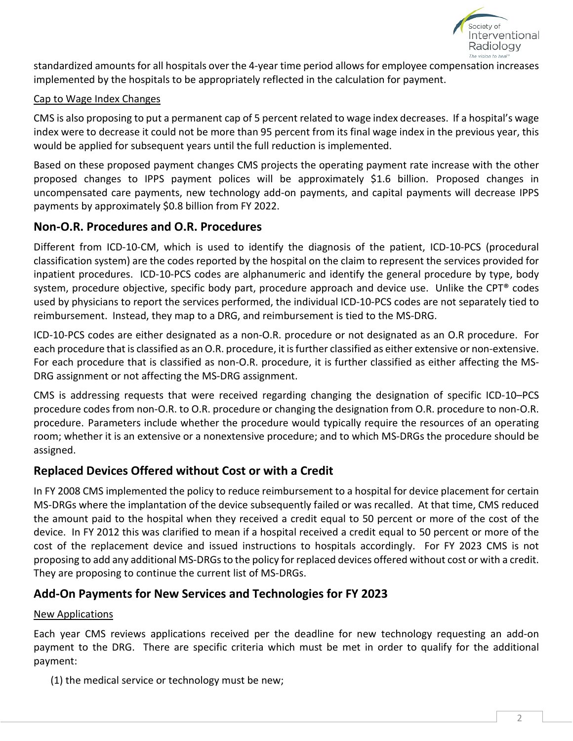

standardized amounts for all hospitals over the 4-year time period allows for employee compensation increases implemented by the hospitals to be appropriately reflected in the calculation for payment.

#### Cap to Wage Index Changes

CMS is also proposing to put a permanent cap of 5 percent related to wage index decreases. If a hospital's wage index were to decrease it could not be more than 95 percent from its final wage index in the previous year, this would be applied for subsequent years until the full reduction is implemented.

Based on these proposed payment changes CMS projects the operating payment rate increase with the other proposed changes to IPPS payment polices will be approximately \$1.6 billion. Proposed changes in uncompensated care payments, new technology add-on payments, and capital payments will decrease IPPS payments by approximately \$0.8 billion from FY 2022.

### **Non-O.R. Procedures and O.R. Procedures**

Different from ICD-10-CM, which is used to identify the diagnosis of the patient, ICD-10-PCS (procedural classification system) are the codes reported by the hospital on the claim to represent the services provided for inpatient procedures. ICD-10-PCS codes are alphanumeric and identify the general procedure by type, body system, procedure objective, specific body part, procedure approach and device use. Unlike the CPT® codes used by physicians to report the services performed, the individual ICD-10-PCS codes are not separately tied to reimbursement. Instead, they map to a DRG, and reimbursement is tied to the MS-DRG.

ICD-10-PCS codes are either designated as a non-O.R. procedure or not designated as an O.R procedure. For each procedure that is classified as an O.R. procedure, it is further classified as either extensive or non-extensive. For each procedure that is classified as non-O.R. procedure, it is further classified as either affecting the MS-DRG assignment or not affecting the MS-DRG assignment.

CMS is addressing requests that were received regarding changing the designation of specific ICD-10–PCS procedure codes from non-O.R. to O.R. procedure or changing the designation from O.R. procedure to non-O.R. procedure. Parameters include whether the procedure would typically require the resources of an operating room; whether it is an extensive or a nonextensive procedure; and to which MS-DRGs the procedure should be assigned.

## **Replaced Devices Offered without Cost or with a Credit**

In FY 2008 CMS implemented the policy to reduce reimbursement to a hospital for device placement for certain MS-DRGs where the implantation of the device subsequently failed or was recalled. At that time, CMS reduced the amount paid to the hospital when they received a credit equal to 50 percent or more of the cost of the device. In FY 2012 this was clarified to mean if a hospital received a credit equal to 50 percent or more of the cost of the replacement device and issued instructions to hospitals accordingly. For FY 2023 CMS is not proposing to add any additional MS-DRGs to the policy for replaced devices offered without cost or with a credit. They are proposing to continue the current list of MS-DRGs.

## **Add-On Payments for New Services and Technologies for FY 2023**

### New Applications

Each year CMS reviews applications received per the deadline for new technology requesting an add-on payment to the DRG. There are specific criteria which must be met in order to qualify for the additional payment:

(1) the medical service or technology must be new;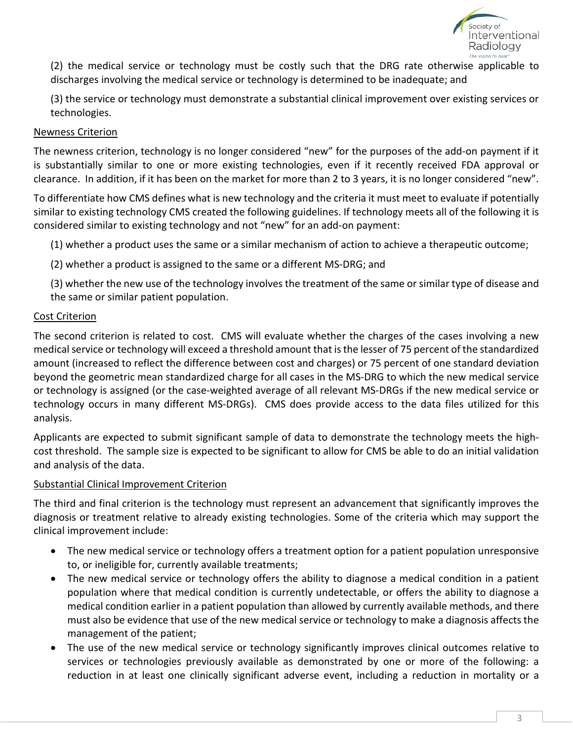

(2) the medical service or technology must be costly such that the DRG rate otherwise applicable to discharges involving the medical service or technology is determined to be inadequate; and

(3) the service or technology must demonstrate a substantial clinical improvement over existing services or technologies.

#### Newness Criterion

The newness criterion, technology is no longer considered "new" for the purposes of the add-on payment if it is substantially similar to one or more existing technologies, even if it recently received FDA approval or clearance. In addition, if it has been on the market for more than 2 to 3 years, it is no longer considered "new".

To differentiate how CMS defines what is new technology and the criteria it must meet to evaluate if potentially similar to existing technology CMS created the following guidelines. If technology meets all of the following it is considered similar to existing technology and not "new" for an add-on payment:

(1) whether a product uses the same or a similar mechanism of action to achieve a therapeutic outcome;

(2) whether a product is assigned to the same or a different MS-DRG; and

(3) whether the new use of the technology involves the treatment of the same or similar type of disease and the same or similar patient population.

#### Cost Criterion

The second criterion is related to cost. CMS will evaluate whether the charges of the cases involving a new medical service or technology will exceed a threshold amount that is the lesser of 75 percent of the standardized amount (increased to reflect the difference between cost and charges) or 75 percent of one standard deviation beyond the geometric mean standardized charge for all cases in the MS-DRG to which the new medical service or technology is assigned (or the case-weighted average of all relevant MS-DRGs if the new medical service or technology occurs in many different MS-DRGs). CMS does provide access to the data files utilized for this analysis.

Applicants are expected to submit significant sample of data to demonstrate the technology meets the highcost threshold. The sample size is expected to be significant to allow for CMS be able to do an initial validation and analysis of the data.

#### Substantial Clinical Improvement Criterion

The third and final criterion is the technology must represent an advancement that significantly improves the diagnosis or treatment relative to already existing technologies. Some of the criteria which may support the clinical improvement include:

- The new medical service or technology offers a treatment option for a patient population unresponsive to, or ineligible for, currently available treatments;
- The new medical service or technology offers the ability to diagnose a medical condition in a patient population where that medical condition is currently undetectable, or offers the ability to diagnose a medical condition earlier in a patient population than allowed by currently available methods, and there must also be evidence that use of the new medical service or technology to make a diagnosis affects the management of the patient;
- The use of the new medical service or technology significantly improves clinical outcomes relative to services or technologies previously available as demonstrated by one or more of the following: a reduction in at least one clinically significant adverse event, including a reduction in mortality or a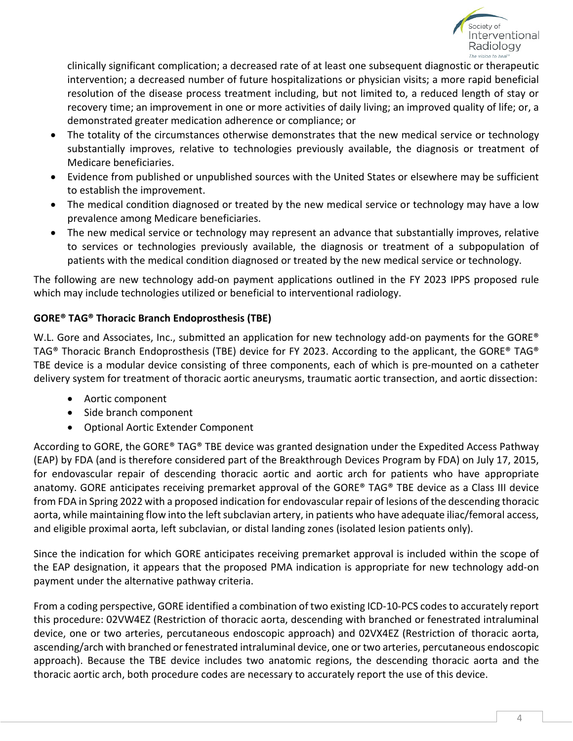

clinically significant complication; a decreased rate of at least one subsequent diagnostic or therapeutic intervention; a decreased number of future hospitalizations or physician visits; a more rapid beneficial resolution of the disease process treatment including, but not limited to, a reduced length of stay or recovery time; an improvement in one or more activities of daily living; an improved quality of life; or, a demonstrated greater medication adherence or compliance; or

- The totality of the circumstances otherwise demonstrates that the new medical service or technology substantially improves, relative to technologies previously available, the diagnosis or treatment of Medicare beneficiaries.
- Evidence from published or unpublished sources with the United States or elsewhere may be sufficient to establish the improvement.
- The medical condition diagnosed or treated by the new medical service or technology may have a low prevalence among Medicare beneficiaries.
- The new medical service or technology may represent an advance that substantially improves, relative to services or technologies previously available, the diagnosis or treatment of a subpopulation of patients with the medical condition diagnosed or treated by the new medical service or technology.

The following are new technology add-on payment applications outlined in the FY 2023 IPPS proposed rule which may include technologies utilized or beneficial to interventional radiology.

## **GORE® TAG® Thoracic Branch Endoprosthesis (TBE)**

W.L. Gore and Associates, Inc., submitted an application for new technology add-on payments for the GORE<sup>®</sup> TAG® Thoracic Branch Endoprosthesis (TBE) device for FY 2023. According to the applicant, the GORE® TAG® TBE device is a modular device consisting of three components, each of which is pre-mounted on a catheter delivery system for treatment of thoracic aortic aneurysms, traumatic aortic transection, and aortic dissection:

- Aortic component
- Side branch component
- Optional Aortic Extender Component

According to GORE, the GORE® TAG® TBE device was granted designation under the Expedited Access Pathway (EAP) by FDA (and is therefore considered part of the Breakthrough Devices Program by FDA) on July 17, 2015, for endovascular repair of descending thoracic aortic and aortic arch for patients who have appropriate anatomy. GORE anticipates receiving premarket approval of the GORE® TAG® TBE device as a Class III device from FDA in Spring 2022 with a proposed indication for endovascular repair of lesions of the descending thoracic aorta, while maintaining flow into the left subclavian artery, in patients who have adequate iliac/femoral access, and eligible proximal aorta, left subclavian, or distal landing zones (isolated lesion patients only).

Since the indication for which GORE anticipates receiving premarket approval is included within the scope of the EAP designation, it appears that the proposed PMA indication is appropriate for new technology add-on payment under the alternative pathway criteria.

From a coding perspective, GORE identified a combination of two existing ICD-10-PCS codes to accurately report this procedure: 02VW4EZ (Restriction of thoracic aorta, descending with branched or fenestrated intraluminal device, one or two arteries, percutaneous endoscopic approach) and 02VX4EZ (Restriction of thoracic aorta, ascending/arch with branched or fenestrated intraluminal device, one or two arteries, percutaneous endoscopic approach). Because the TBE device includes two anatomic regions, the descending thoracic aorta and the thoracic aortic arch, both procedure codes are necessary to accurately report the use of this device.